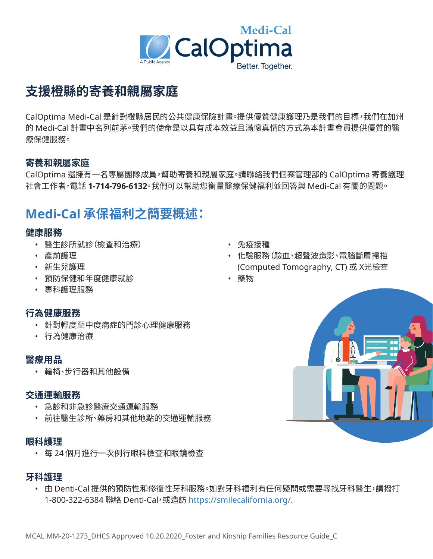

# **支援橙縣的寄養和親屬家庭**

CalOptima Medi-Cal 是針對橙縣居民的公共健康保險計畫。提供優質健康護理乃是我們的目標,我們在加州 的 Medi-Cal 計畫中名列前茅。我們的使命是以具有成本效益且滿懷真情的方式為本計畫會員提供優質的醫 療保健服務。

## **寄養和親屬家庭**

CalOptima 還擁有一名專屬團隊成員,幫助寄養和親屬家庭。請聯絡我們個案管理部的 CalOptima 寄養護理 社會工作者,電話 **1-714-796-6132**。我們可以幫助您衡量醫療保健福利並回答與 Medi-Cal 有關的問題。

# **Medi-Cal 承保福利之簡要概述:**

### **健康服務**

- 醫生診所就診(檢查和治療) 免疫接種
- 
- 
- 預防保健和年度健康就診 藥物
- 專科護理服務

## **行為健康服務**

- 針對輕度至中度病症的門診心理健康服務
- 行為健康治療

### **醫療用品**

• 輪椅、步行器和其他設備

### **交通運輸服務**

- 急診和非急診醫療交通運輸服務
- 前往醫生診所、藥房和其他地點的交通運輸服務

#### **眼科護理**

• 每 24 個月進行一次例行眼科檢查和眼鏡檢查

### **牙科護理**

• 由 Denti-Cal 提供的預防性和修復性牙科服務。如對牙科福利有任何疑問或需要尋找牙科醫生,請撥打 1-800-322-6384 聯絡 Denti-Cal,或造訪 <https://smilecalifornia.org>/.

- 
- 產前護理 化驗服務(驗血、超聲波造影、電腦斷層掃描 • 新生兒護理 (Computed Tomography, CT) 或 X光檢查
	-

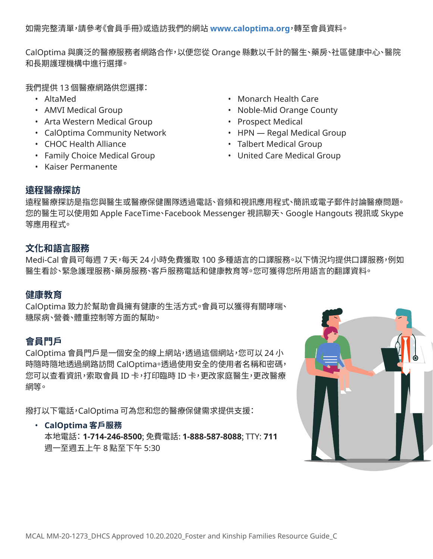如需完整清單,請參考《會員手冊》或造訪我們的網站 **[www.caloptima.org](www.caloptima.org，轉至會員資料。)**,轉至會員資料。

CalOptima 與廣泛的醫療服務者網路合作,以便您從 Orange 縣數以千計的醫生、藥房、社區健康中心、醫院 和長期護理機構中進行選擇。

我們提供 13 個醫療網路供您選擇:

- 
- 
- Arta Western Medical Group Prospect Medical
- CalOptima Community Network HPN Regal Medical Group
- 
- Family Choice Medical Group United Care Medical Group
- Kaiser Permanente
- AltaMed Monarch Health Care
- AMVI Medical Group  **Noble-Mid Orange County** 
	-
	-
- CHOC Health Alliance  **Talbert Medical Group** 
	-

# **遠程醫療探訪**

遠程醫療探訪是指您與醫生或醫療保健團隊透過電話、音頻和視訊應用程式、簡訊或電子郵件討論醫療問題。 您的醫生可以使用如 Apple FaceTime、Facebook Messenger 視訊聊天、Google Hangouts 視訊或 Skype 等應用程式。

# **文化和語言服務**

Medi-Cal 會員可每週 7 天,每天 24 小時免費獲取 100 多種語言的口譯服務。以下情況均提供口譯服務,例如 醫生看診、緊急護理服務、藥房服務、客戶服務電話和健康教育等。您可獲得您所用語言的翻譯資料。

# **健康教育**

CalOptima 致力於幫助會員擁有健康的生活方式。會員可以獲得有關哮喘、 糖尿病、營養、體重控制等方面的幫助。

# **會員門戶**

CalOptima 會員門戶是一個安全的線上網站,透過這個網站,您可以 24 小 時隨時隨地透過網路訪問 CalOptima。透過使用安全的使用者名稱和密碼, 您可以查看資訊,索取會員 ID 卡,打印臨時 ID 卡,更改家庭醫生,更改醫療 網等。

撥打以下電話,CalOptima 可為您和您的醫療保健需求提供支援:

## • **CalOptima 客戶服務**

本地電話:**1-714-246-8500**; 免費電話: **1-888-587-8088**; TTY: **711** 週一至週五上午 8 點至下午 5:30